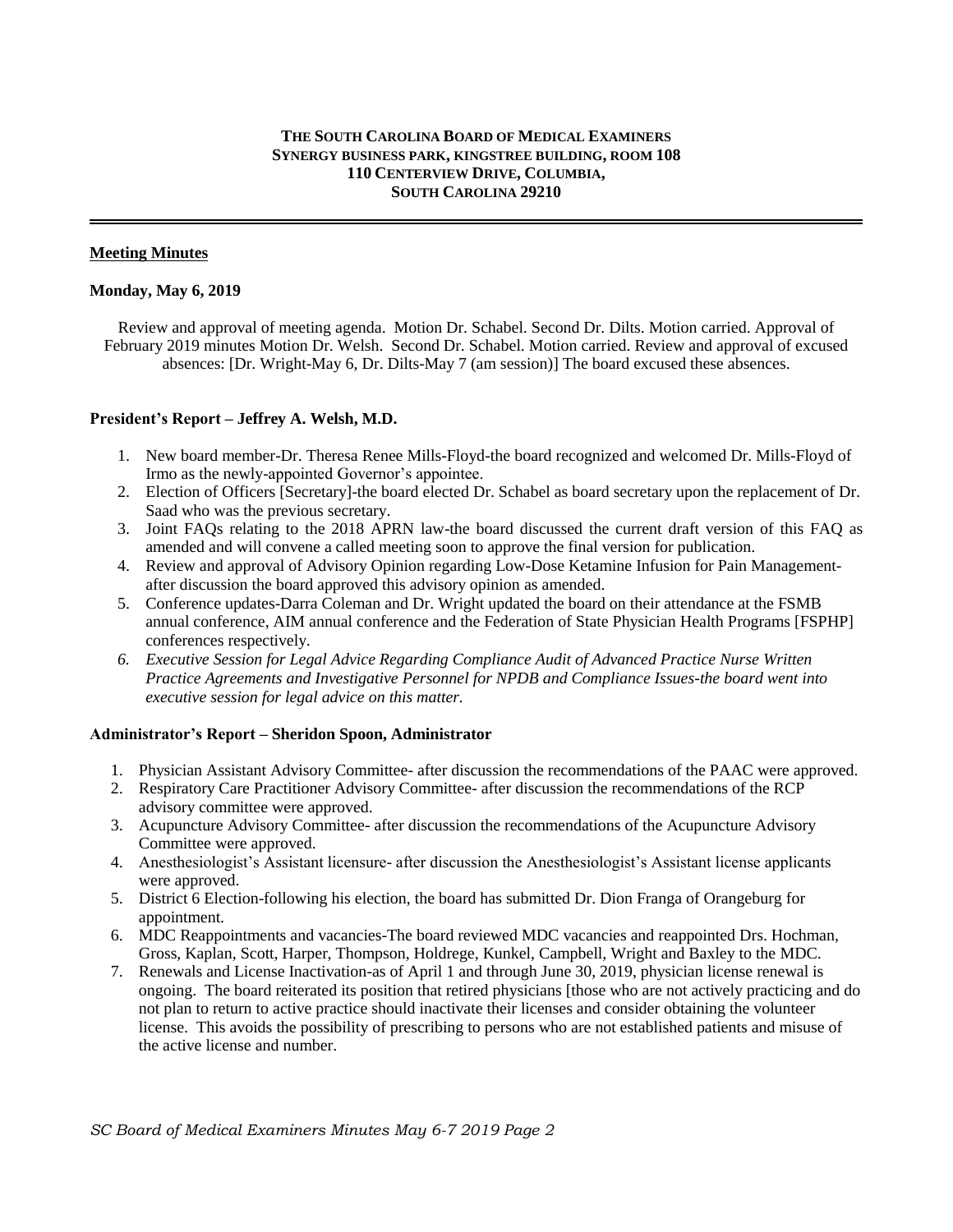# **THE SOUTH CAROLINA BOARD OF MEDICAL EXAMINERS SYNERGY BUSINESS PARK, KINGSTREE BUILDING, ROOM 108 110 CENTERVIEW DRIVE, COLUMBIA, SOUTH CAROLINA 29210**

# **Meeting Minutes**

#### **Monday, May 6, 2019**

 Review and approval of meeting agenda. Motion Dr. Schabel. Second Dr. Dilts. Motion carried. Approval of February 2019 minutes Motion Dr. Welsh. Second Dr. Schabel. Motion carried. Review and approval of excused absences: [Dr. Wright-May 6, Dr. Dilts-May 7 (am session)] The board excused these absences.

## **President's Report – Jeffrey A. Welsh, M.D.**

- 1. New board member-Dr. Theresa Renee Mills-Floyd-the board recognized and welcomed Dr. Mills-Floyd of Irmo as the newly-appointed Governor's appointee.
- 2. Election of Officers [Secretary]-the board elected Dr. Schabel as board secretary upon the replacement of Dr. Saad who was the previous secretary.
- 3. Joint FAQs relating to the 2018 APRN law-the board discussed the current draft version of this FAQ as amended and will convene a called meeting soon to approve the final version for publication.
- 4. Review and approval of Advisory Opinion regarding Low-Dose Ketamine Infusion for Pain Managementafter discussion the board approved this advisory opinion as amended.
- 5. Conference updates-Darra Coleman and Dr. Wright updated the board on their attendance at the FSMB annual conference, AIM annual conference and the Federation of State Physician Health Programs [FSPHP] conferences respectively.
- *6. Executive Session for Legal Advice Regarding Compliance Audit of Advanced Practice Nurse Written Practice Agreements and Investigative Personnel for NPDB and Compliance Issues-the board went into executive session for legal advice on this matter.*

#### **Administrator's Report – Sheridon Spoon, Administrator**

- 1. Physician Assistant Advisory Committee- after discussion the recommendations of the PAAC were approved.
- 2. Respiratory Care Practitioner Advisory Committee- after discussion the recommendations of the RCP advisory committee were approved.
- 3. Acupuncture Advisory Committee- after discussion the recommendations of the Acupuncture Advisory Committee were approved.
- 4. Anesthesiologist's Assistant licensure- after discussion the Anesthesiologist's Assistant license applicants were approved.
- 5. District 6 Election-following his election, the board has submitted Dr. Dion Franga of Orangeburg for appointment.
- 6. MDC Reappointments and vacancies-The board reviewed MDC vacancies and reappointed Drs. Hochman, Gross, Kaplan, Scott, Harper, Thompson, Holdrege, Kunkel, Campbell, Wright and Baxley to the MDC.
- 7. Renewals and License Inactivation-as of April 1 and through June 30, 2019, physician license renewal is ongoing. The board reiterated its position that retired physicians [those who are not actively practicing and do not plan to return to active practice should inactivate their licenses and consider obtaining the volunteer license. This avoids the possibility of prescribing to persons who are not established patients and misuse of the active license and number.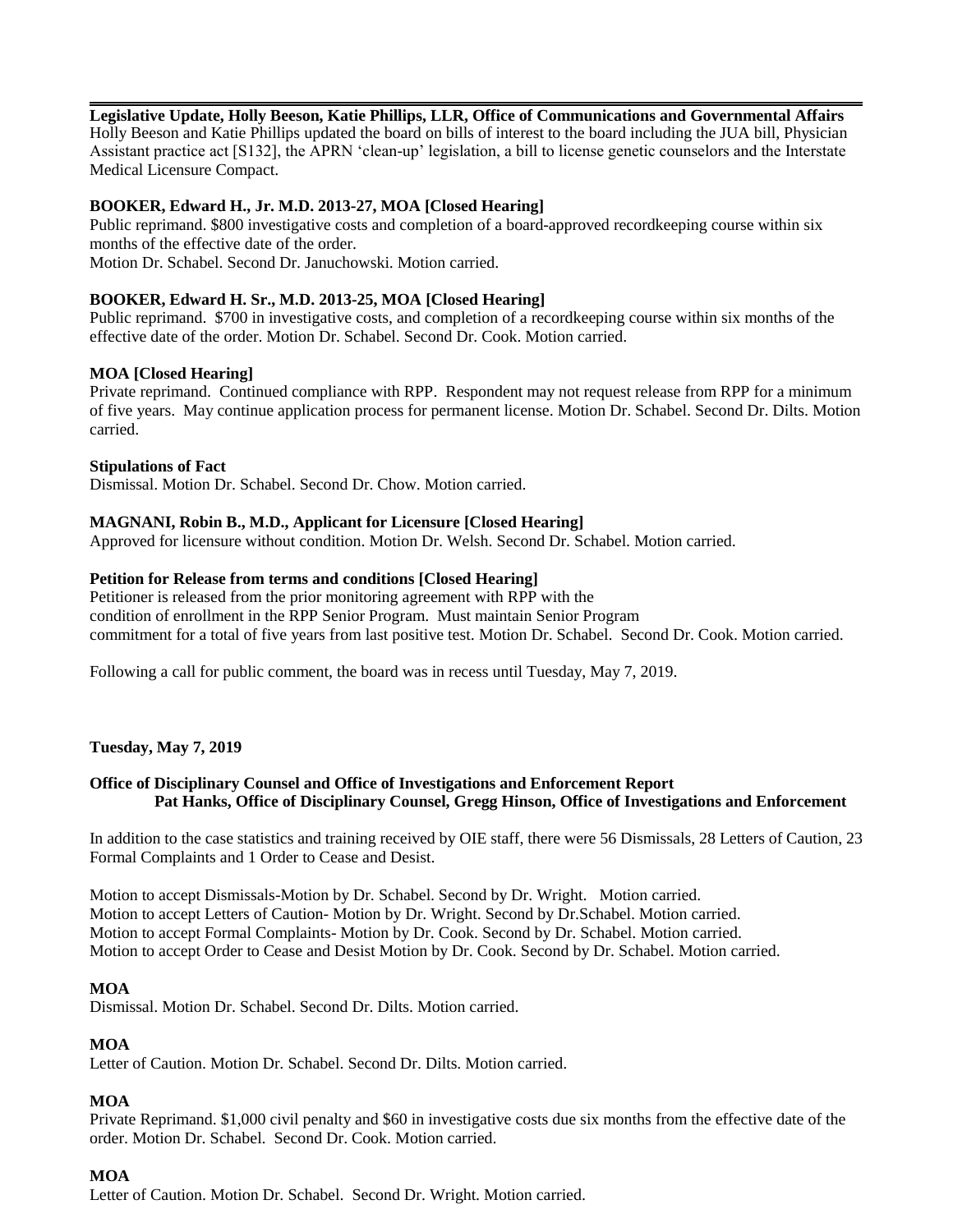## **Legislative Update, Holly Beeson, Katie Phillips, LLR, Office of Communications and Governmental Affairs**

Holly Beeson and Katie Phillips updated the board on bills of interest to the board including the JUA bill, Physician Assistant practice act [S132], the APRN 'clean-up' legislation, a bill to license genetic counselors and the Interstate Medical Licensure Compact.

## **BOOKER, Edward H., Jr. M.D. 2013-27, MOA [Closed Hearing]**

Public reprimand. \$800 investigative costs and completion of a board-approved recordkeeping course within six months of the effective date of the order. Motion Dr. Schabel. Second Dr. Januchowski. Motion carried.

## **BOOKER, Edward H. Sr., M.D. 2013-25, MOA [Closed Hearing]**

Public reprimand. \$700 in investigative costs, and completion of a recordkeeping course within six months of the effective date of the order. Motion Dr. Schabel. Second Dr. Cook. Motion carried.

#### **MOA [Closed Hearing]**

Private reprimand. Continued compliance with RPP. Respondent may not request release from RPP for a minimum of five years. May continue application process for permanent license. Motion Dr. Schabel. Second Dr. Dilts. Motion carried.

#### **Stipulations of Fact**

Dismissal. Motion Dr. Schabel. Second Dr. Chow. Motion carried.

#### **MAGNANI, Robin B., M.D., Applicant for Licensure [Closed Hearing]**

Approved for licensure without condition. Motion Dr. Welsh. Second Dr. Schabel. Motion carried.

#### **Petition for Release from terms and conditions [Closed Hearing]**

Petitioner is released from the prior monitoring agreement with RPP with the condition of enrollment in the RPP Senior Program. Must maintain Senior Program commitment for a total of five years from last positive test. Motion Dr. Schabel. Second Dr. Cook. Motion carried.

Following a call for public comment, the board was in recess until Tuesday, May 7, 2019.

#### **Tuesday, May 7, 2019**

## **Office of Disciplinary Counsel and Office of Investigations and Enforcement Report Pat Hanks, Office of Disciplinary Counsel, Gregg Hinson, Office of Investigations and Enforcement**

In addition to the case statistics and training received by OIE staff, there were 56 Dismissals, 28 Letters of Caution, 23 Formal Complaints and 1 Order to Cease and Desist.

Motion to accept Dismissals-Motion by Dr. Schabel. Second by Dr. Wright. Motion carried. Motion to accept Letters of Caution- Motion by Dr. Wright. Second by Dr.Schabel. Motion carried. Motion to accept Formal Complaints- Motion by Dr. Cook. Second by Dr. Schabel. Motion carried. Motion to accept Order to Cease and Desist Motion by Dr. Cook. Second by Dr. Schabel. Motion carried.

#### **MOA**

Dismissal. Motion Dr. Schabel. Second Dr. Dilts. Motion carried.

#### **MOA**

Letter of Caution. Motion Dr. Schabel. Second Dr. Dilts. Motion carried.

#### **MOA**

Private Reprimand. \$1,000 civil penalty and \$60 in investigative costs due six months from the effective date of the order. Motion Dr. Schabel. Second Dr. Cook. Motion carried.

#### **MOA**

Letter of Caution. Motion Dr. Schabel. Second Dr. Wright. Motion carried.